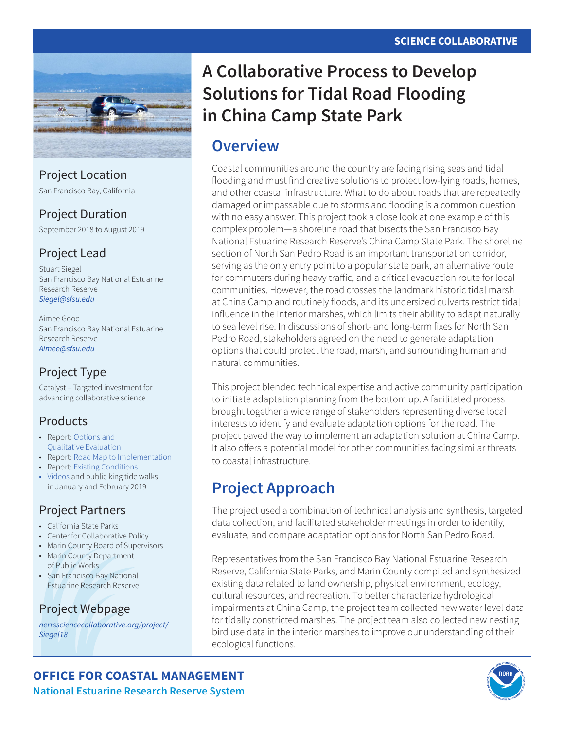

Project Location

San Francisco Bay, California

### Project Duration

September 2018 to August 2019

### Project Lead

Stuart Siegel San Francisco Bay National Estuarine Research Reserve *[Siegel@sfsu.edu](mailto:Siegel%40sfsu.edu?subject=)*

Aimee Good San Francisco Bay National Estuarine Research Reserve *[Aimee@sfsu.edu](mailto:Aimee%40sfsu.edu?subject=)*

### Project Type

Catalyst – Targeted investment for advancing collaborative science

### Products

- Report: [Options and](http://www.nerrssciencecollaborative.org/resource/china-camp-alternative-options)  [Qualitative Evaluation](http://www.nerrssciencecollaborative.org/resource/china-camp-alternative-options)
- Report: [Road Map to Implementation](http://www.nerrssciencecollaborative.org/resource/china-camp-implementation-road-map)
- Report: [Existing Conditions](http://www.nerrssciencecollaborative.org/resource/china-camp-road-adaptation-existing-conditions)
- [Videos](http://www.nerrssciencecollaborative.org/resource/china-camp-flooding-video-part-1) and public king tide walks in January and February 2019

### Project Partners

- California State Parks
- Center for Collaborative Policy
- Marin County Board of Supervisors
- Marin County Department of Public Works
- San Francisco Bay National Estuarine Research Reserve

### Project Webpage

*[nerrssciencecollaborative.org/project/](http://www.nerrssciencecollaborative.org/project/Siegel18) [Siegel18](http://www.nerrssciencecollaborative.org/project/Siegel18)*

# **A Collaborative Process to Develop Solutions for Tidal Road Flooding in China Camp State Park**

# **Overview**

Coastal communities around the country are facing rising seas and tidal flooding and must find creative solutions to protect low-lying roads, homes, and other coastal infrastructure. What to do about roads that are repeatedly damaged or impassable due to storms and flooding is a common question with no easy answer. This project took a close look at one example of this complex problem—a shoreline road that bisects the San Francisco Bay National Estuarine Research Reserve's China Camp State Park. The shoreline section of North San Pedro Road is an important transportation corridor, serving as the only entry point to a popular state park, an alternative route for commuters during heavy traffic, and a critical evacuation route for local communities. However, the road crosses the landmark historic tidal marsh at China Camp and routinely floods, and its undersized culverts restrict tidal influence in the interior marshes, which limits their ability to adapt naturally to sea level rise. In discussions of short- and long-term fixes for North San Pedro Road, stakeholders agreed on the need to generate adaptation options that could protect the road, marsh, and surrounding human and natural communities.

This project blended technical expertise and active community participation to initiate adaptation planning from the bottom up. A facilitated process brought together a wide range of stakeholders representing diverse local interests to identify and evaluate adaptation options for the road. The project paved the way to implement an adaptation solution at China Camp. It also offers a potential model for other communities facing similar threats to coastal infrastructure.

# **Project Approach**

The project used a combination of technical analysis and synthesis, targeted data collection, and facilitated stakeholder meetings in order to identify, evaluate, and compare adaptation options for North San Pedro Road.

Representatives from the San Francisco Bay National Estuarine Research Reserve, California State Parks, and Marin County compiled and synthesized existing data related to land ownership, physical environment, ecology, cultural resources, and recreation. To better characterize hydrological impairments at China Camp, the project team collected new water level data for tidally constricted marshes. The project team also collected new nesting bird use data in the interior marshes to improve our understanding of their ecological functions.



**OFFICE FOR COASTAL MANAGEMENT National Estuarine Research Reserve System**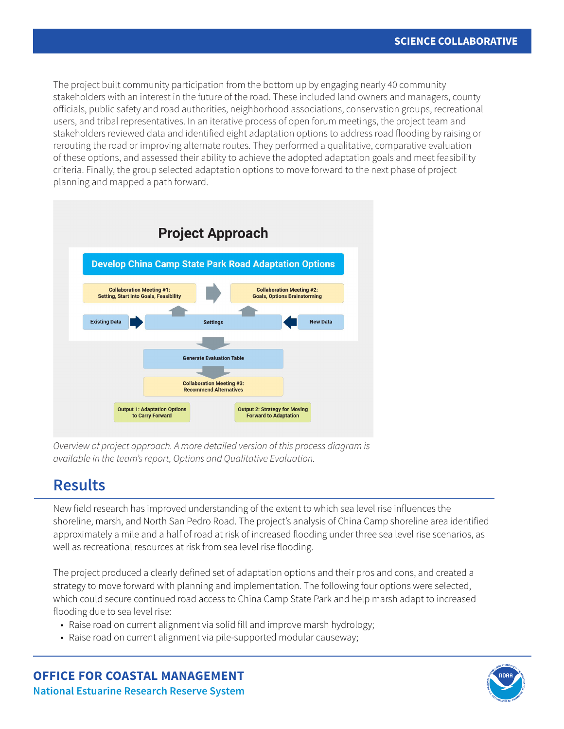The project built community participation from the bottom up by engaging nearly 40 community stakeholders with an interest in the future of the road. These included land owners and managers, county officials, public safety and road authorities, neighborhood associations, conservation groups, recreational users, and tribal representatives. In an iterative process of open forum meetings, the project team and stakeholders reviewed data and identified eight adaptation options to address road flooding by raising or rerouting the road or improving alternate routes. They performed a qualitative, comparative evaluation of these options, and assessed their ability to achieve the adopted adaptation goals and meet feasibility criteria. Finally, the group selected adaptation options to move forward to the next phase of project planning and mapped a path forward.



*Overview of project approach. A more detailed version of this process diagram is available in the team's report, Options and Qualitative Evaluation.*

# **Results**

New field research has improved understanding of the extent to which sea level rise influences the shoreline, marsh, and North San Pedro Road. The project's analysis of China Camp shoreline area identified approximately a mile and a half of road at risk of increased flooding under three sea level rise scenarios, as well as recreational resources at risk from sea level rise flooding.

The project produced a clearly defined set of adaptation options and their pros and cons, and created a strategy to move forward with planning and implementation. The following four options were selected, which could secure continued road access to China Camp State Park and help marsh adapt to increased flooding due to sea level rise:

- Raise road on current alignment via solid fill and improve marsh hydrology;
- Raise road on current alignment via pile-supported modular causeway;

**OFFICE FOR COASTAL MANAGEMENT National Estuarine Research Reserve System**